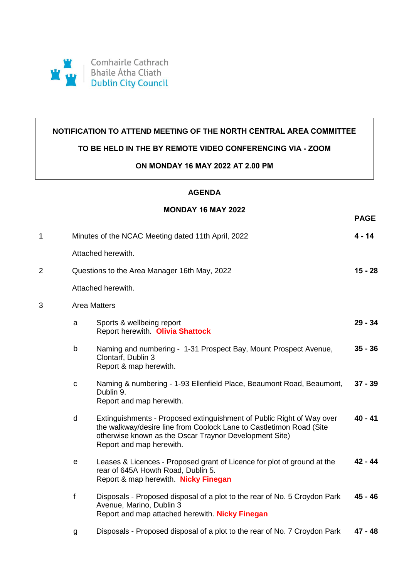

### **NOTIFICATION TO ATTEND MEETING OF THE NORTH CENTRAL AREA COMMITTEE**

# **TO BE HELD IN THE BY REMOTE VIDEO CONFERENCING VIA - ZOOM**

#### **ON MONDAY 16 MAY 2022 AT 2.00 PM**

## **AGENDA**

## **MONDAY 16 MAY 2022**

**PAGE**

| 1 |                                              | Minutes of the NCAC Meeting dated 11th April, 2022                                                                                                                                                                                 | $4 - 14$  |  |
|---|----------------------------------------------|------------------------------------------------------------------------------------------------------------------------------------------------------------------------------------------------------------------------------------|-----------|--|
|   | Attached herewith.                           |                                                                                                                                                                                                                                    |           |  |
| 2 | Questions to the Area Manager 16th May, 2022 |                                                                                                                                                                                                                                    |           |  |
|   | Attached herewith.                           |                                                                                                                                                                                                                                    |           |  |
| 3 | <b>Area Matters</b>                          |                                                                                                                                                                                                                                    |           |  |
|   | a                                            | Sports & wellbeing report<br>Report herewith. Olivia Shattock                                                                                                                                                                      | $29 - 34$ |  |
|   | b                                            | Naming and numbering - 1-31 Prospect Bay, Mount Prospect Avenue,<br>Clontarf, Dublin 3<br>Report & map herewith.                                                                                                                   | $35 - 36$ |  |
|   | $\mathbf C$                                  | Naming & numbering - 1-93 Ellenfield Place, Beaumont Road, Beaumont,<br>Dublin 9.<br>Report and map herewith.                                                                                                                      | $37 - 39$ |  |
|   | d                                            | Extinguishments - Proposed extinguishment of Public Right of Way over<br>the walkway/desire line from Coolock Lane to Castletimon Road (Site<br>otherwise known as the Oscar Traynor Development Site)<br>Report and map herewith. | $40 - 41$ |  |
|   | $\mathbf e$                                  | Leases & Licences - Proposed grant of Licence for plot of ground at the<br>rear of 645A Howth Road, Dublin 5.<br>Report & map herewith. Nicky Finegan                                                                              | $42 - 44$ |  |
|   | f                                            | Disposals - Proposed disposal of a plot to the rear of No. 5 Croydon Park<br>Avenue, Marino, Dublin 3<br>Report and map attached herewith. Nicky Finegan                                                                           | 45 - 46   |  |
|   | g                                            | Disposals - Proposed disposal of a plot to the rear of No. 7 Croydon Park                                                                                                                                                          | $47 - 48$ |  |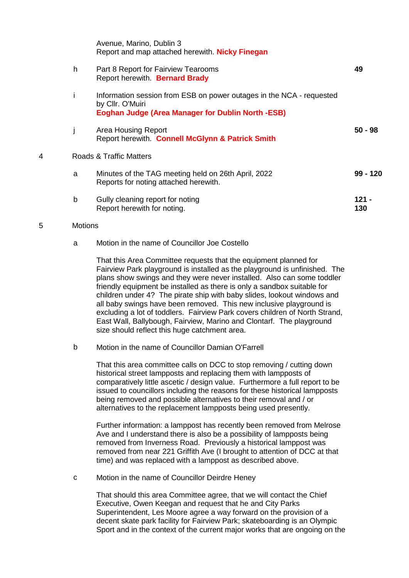|   |   | Avenue, Marino, Dublin 3<br>Report and map attached herewith. Nicky Finegan                                                                          |              |
|---|---|------------------------------------------------------------------------------------------------------------------------------------------------------|--------------|
|   | h | Part 8 Report for Fairview Tearooms<br>Report herewith Bernard Brady                                                                                 | 49           |
|   | i | Information session from ESB on power outages in the NCA - requested<br>by Cllr. O'Muiri<br><b>Eoghan Judge (Area Manager for Dublin North -ESB)</b> |              |
|   |   | Area Housing Report<br>Report herewith. Connell McGlynn & Patrick Smith                                                                              | $50 - 98$    |
| 4 |   | Roads & Traffic Matters                                                                                                                              |              |
|   | a | Minutes of the TAG meeting held on 26th April, 2022<br>Reports for noting attached herewith.                                                         | $99 - 120$   |
|   | b | Gully cleaning report for noting<br>Report herewith for noting.                                                                                      | 121 -<br>130 |
|   |   |                                                                                                                                                      |              |

#### 5 Motions

#### a Motion in the name of Councillor Joe Costello

That this Area Committee requests that the equipment planned for Fairview Park playground is installed as the playground is unfinished. The plans show swings and they were never installed. Also can some toddler friendly equipment be installed as there is only a sandbox suitable for children under 4? The pirate ship with baby slides, lookout windows and all baby swings have been removed. This new inclusive playground is excluding a lot of toddlers. Fairview Park covers children of North Strand, East Wall, Ballybough, Fairview, Marino and Clontarf. The playground size should reflect this huge catchment area.

b Motion in the name of Councillor Damian O'Farrell

That this area committee calls on DCC to stop removing / cutting down historical street lampposts and replacing them with lampposts of comparatively little ascetic / design value. Furthermore a full report to be issued to councillors including the reasons for these historical lampposts being removed and possible alternatives to their removal and / or alternatives to the replacement lampposts being used presently.

Further information: a lamppost has recently been removed from Melrose Ave and I understand there is also be a possibility of lampposts being removed from Inverness Road. Previously a historical lamppost was removed from near 221 Griffith Ave (I brought to attention of DCC at that time) and was replaced with a lamppost as described above.

c Motion in the name of Councillor Deirdre Heney

That should this area Committee agree, that we will contact the Chief Executive, Owen Keegan and request that he and City Parks Superintendent, Les Moore agree a way forward on the provision of a decent skate park facility for Fairview Park; skateboarding is an Olympic Sport and in the context of the current major works that are ongoing on the